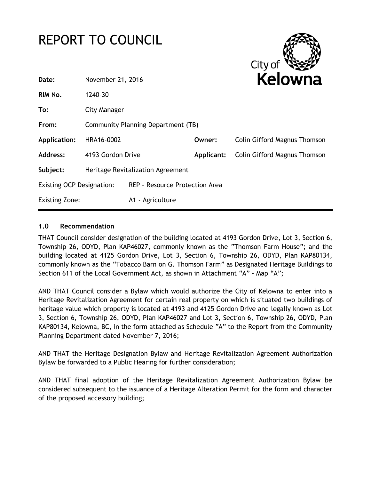# REPORT TO COUNCIL



| Date:                            | November 21, 2016                  |                                |            | Kelowna                             |
|----------------------------------|------------------------------------|--------------------------------|------------|-------------------------------------|
| RIM No.                          | 1240-30                            |                                |            |                                     |
| To:                              | City Manager                       |                                |            |                                     |
| From:                            | Community Planning Department (TB) |                                |            |                                     |
| <b>Application:</b>              | HRA16-0002                         |                                | Owner:     | <b>Colin Gifford Magnus Thomson</b> |
| <b>Address:</b>                  | 4193 Gordon Drive                  |                                | Applicant: | <b>Colin Gifford Magnus Thomson</b> |
| Subject:                         | Heritage Revitalization Agreement  |                                |            |                                     |
| <b>Existing OCP Designation:</b> |                                    | REP - Resource Protection Area |            |                                     |
| <b>Existing Zone:</b>            |                                    | A1 - Agriculture               |            |                                     |

# **1.0 Recommendation**

THAT Council consider designation of the building located at 4193 Gordon Drive, Lot 3, Section 6, Township 26, ODYD, Plan KAP46027, commonly known as the "Thomson Farm House"; and the building located at 4125 Gordon Drive, Lot 3, Section 6, Township 26, ODYD, Plan KAP80134, commonly known as the "Tobacco Barn on G. Thomson Farm" as Designated Heritage Buildings to Section 611 of the Local Government Act, as shown in Attachment "A" - Map "A";

AND THAT Council consider a Bylaw which would authorize the City of Kelowna to enter into a Heritage Revitalization Agreement for certain real property on which is situated two buildings of heritage value which property is located at 4193 and 4125 Gordon Drive and legally known as Lot 3, Section 6, Township 26, ODYD, Plan KAP46027 and Lot 3, Section 6, Township 26, ODYD, Plan KAP80134, Kelowna, BC, in the form attached as Schedule "A" to the Report from the Community Planning Department dated November 7, 2016;

AND THAT the Heritage Designation Bylaw and Heritage Revitalization Agreement Authorization Bylaw be forwarded to a Public Hearing for further consideration;

AND THAT final adoption of the Heritage Revitalization Agreement Authorization Bylaw be considered subsequent to the issuance of a Heritage Alteration Permit for the form and character of the proposed accessory building;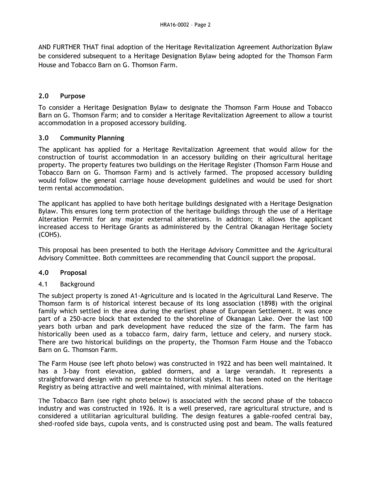AND FURTHER THAT final adoption of the Heritage Revitalization Agreement Authorization Bylaw be considered subsequent to a Heritage Designation Bylaw being adopted for the Thomson Farm House and Tobacco Barn on G. Thomson Farm.

# **2.0 Purpose**

To consider a Heritage Designation Bylaw to designate the Thomson Farm House and Tobacco Barn on G. Thomson Farm; and to consider a Heritage Revitalization Agreement to allow a tourist accommodation in a proposed accessory building.

# **3.0 Community Planning**

The applicant has applied for a Heritage Revitalization Agreement that would allow for the construction of tourist accommodation in an accessory building on their agricultural heritage property. The property features two buildings on the Heritage Register (Thomson Farm House and Tobacco Barn on G. Thomson Farm) and is actively farmed. The proposed accessory building would follow the general carriage house development guidelines and would be used for short term rental accommodation.

The applicant has applied to have both heritage buildings designated with a Heritage Designation Bylaw. This ensures long term protection of the heritage buildings through the use of a Heritage Alteration Permit for any major external alterations. In addition; it allows the applicant increased access to Heritage Grants as administered by the Central Okanagan Heritage Society (COHS).

This proposal has been presented to both the Heritage Advisory Committee and the Agricultural Advisory Committee. Both committees are recommending that Council support the proposal.

## **4.0 Proposal**

## 4.1 Background

The subject property is zoned A1-Agriculture and is located in the Agricultural Land Reserve. The Thomson farm is of historical interest because of its long association (1898) with the original family which settled in the area during the earliest phase of European Settlement. It was once part of a 250-acre block that extended to the shoreline of Okanagan Lake. Over the last 100 years both urban and park development have reduced the size of the farm. The farm has historically been used as a tobacco farm, dairy farm, lettuce and celery, and nursery stock. There are two historical buildings on the property, the Thomson Farm House and the Tobacco Barn on G. Thomson Farm.

The Farm House (see left photo below) was constructed in 1922 and has been well maintained. It has a 3-bay front elevation, gabled dormers, and a large verandah. It represents a straightforward design with no pretence to historical styles. It has been noted on the Heritage Registry as being attractive and well maintained, with minimal alterations.

The Tobacco Barn (see right photo below) is associated with the second phase of the tobacco industry and was constructed in 1926. It is a well preserved, rare agricultural structure, and is considered a utilitarian agricultural building. The design features a gable-roofed central bay, shed-roofed side bays, cupola vents, and is constructed using post and beam. The walls featured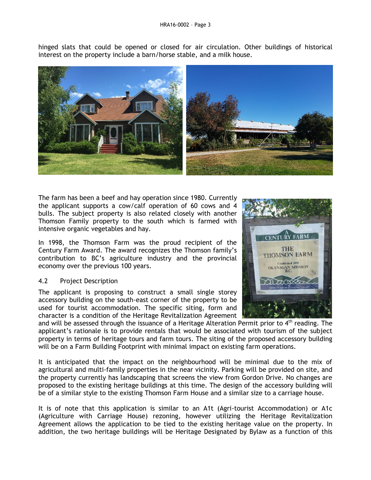hinged slats that could be opened or closed for air circulation. Other buildings of historical interest on the property include a barn/horse stable, and a milk house.



The farm has been a beef and hay operation since 1980. Currently the applicant supports a cow/calf operation of 60 cows and 4 bulls. The subject property is also related closely with another Thomson Family property to the south which is farmed with intensive organic vegetables and hay.

In 1998, the Thomson Farm was the proud recipient of the Century Farm Award. The award recognizes the Thomson family's contribution to BC's agriculture industry and the provincial economy over the previous 100 years.

## 4.2 Project Description

The applicant is proposing to construct a small single storey accessory building on the south-east corner of the property to be used for tourist accommodation. The specific siting, form and character is a condition of the Heritage Revitalization Agreement



and will be assessed through the issuance of a Heritage Alteration Permit prior to  $4<sup>th</sup>$  reading. The applicant's rationale is to provide rentals that would be associated with tourism of the subject property in terms of heritage tours and farm tours. The siting of the proposed accessory building will be on a Farm Building Footprint with minimal impact on existing farm operations.

It is anticipated that the impact on the neighbourhood will be minimal due to the mix of agricultural and multi-family properties in the near vicinity. Parking will be provided on site, and the property currently has landscaping that screens the view from Gordon Drive. No changes are proposed to the existing heritage buildings at this time. The design of the accessory building will be of a similar style to the existing Thomson Farm House and a similar size to a carriage house.

It is of note that this application is similar to an A1t (Agri-tourist Accommodation) or A1c (Agriculture with Carriage House) rezoning, however utilizing the Heritage Revitalization Agreement allows the application to be tied to the existing heritage value on the property. In addition, the two heritage buildings will be Heritage Designated by Bylaw as a function of this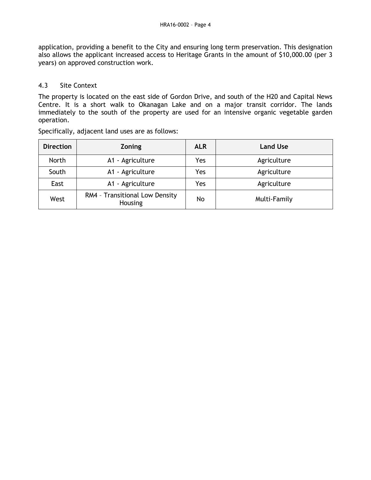application, providing a benefit to the City and ensuring long term preservation. This designation also allows the applicant increased access to Heritage Grants in the amount of \$10,000.00 (per 3 years) on approved construction work.

### 4.3 Site Context

The property is located on the east side of Gordon Drive, and south of the H20 and Capital News Centre. It is a short walk to Okanagan Lake and on a major transit corridor. The lands immediately to the south of the property are used for an intensive organic vegetable garden operation.

| <b>Direction</b> | <b>Zoning</b>                             | <b>ALR</b> | <b>Land Use</b> |
|------------------|-------------------------------------------|------------|-----------------|
| North            | A1 - Agriculture                          | Yes        | Agriculture     |
| South            | A1 - Agriculture                          | Yes        | Agriculture     |
| East             | A1 - Agriculture                          | Yes        | Agriculture     |
| West             | RM4 - Transitional Low Density<br>Housing | No         | Multi-Family    |

Specifically, adjacent land uses are as follows: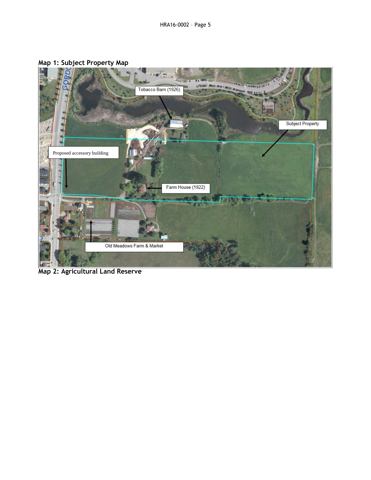

# **Map 1: Subject Property Map**

**Map 2: Agricultural Land Reserve**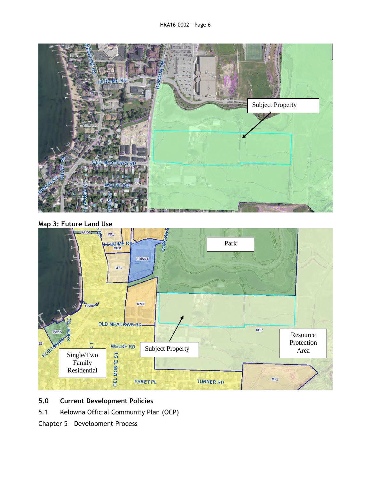

**Map 3: Future Land Use**



# **5.0 Current Development Policies**

5.1 Kelowna Official Community Plan (OCP)

Chapter 5 – Development Process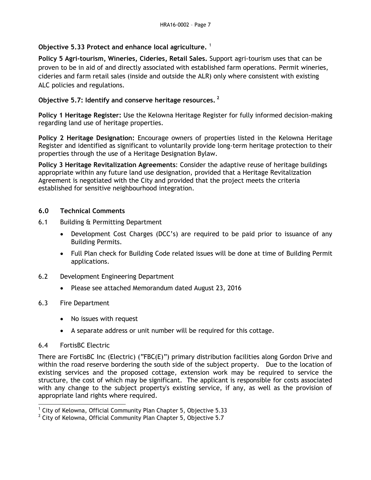# **Objective 5.33 Protect and enhance local agriculture.** <sup>1</sup>

**Policy 5 Agri-tourism, Wineries, Cideries, Retail Sales.** Support agri-tourism uses that can be proven to be in aid of and directly associated with established farm operations. Permit wineries, cideries and farm retail sales (inside and outside the ALR) only where consistent with existing ALC policies and regulations.

# **Objective 5.7: Identify and conserve heritage resources. <sup>2</sup>**

**Policy 1 Heritage Register:** Use the Kelowna Heritage Register for fully informed decision-making regarding land use of heritage properties.

**Policy 2 Heritage Designation:** Encourage owners of properties listed in the Kelowna Heritage Register and identified as significant to voluntarily provide long-term heritage protection to their properties through the use of a Heritage Designation Bylaw.

**Policy 3 Heritage Revitalization Agreements**: Consider the adaptive reuse of heritage buildings appropriate within any future land use designation, provided that a Heritage Revitalization Agreement is negotiated with the City and provided that the project meets the criteria established for sensitive neighbourhood integration.

# **6.0 Technical Comments**

- 6.1 Building & Permitting Department
	- Development Cost Charges (DCC's) are required to be paid prior to issuance of any Building Permits.
	- Full Plan check for Building Code related issues will be done at time of Building Permit applications.
- 6.2 Development Engineering Department
	- Please see attached Memorandum dated August 23, 2016
- 6.3 Fire Department
	- No issues with request
	- A separate address or unit number will be required for this cottage.

## 6.4 FortisBC Electric

There are FortisBC Inc (Electric) ("FBC(E)") primary distribution facilities along Gordon Drive and within the road reserve bordering the south side of the subject property. Due to the location of existing services and the proposed cottage, extension work may be required to service the structure, the cost of which may be significant. The applicant is responsible for costs associated with any change to the subject property's existing service, if any, as well as the provision of appropriate land rights where required.

 1 City of Kelowna, Official Community Plan Chapter 5, Objective 5.33

 $2$  City of Kelowna, Official Community Plan Chapter 5, Objective 5.7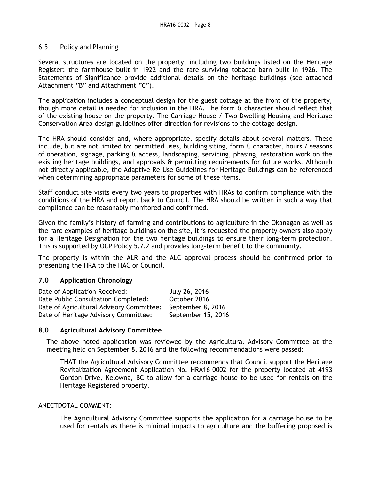#### 6.5 Policy and Planning

Several structures are located on the property, including two buildings listed on the Heritage Register: the farmhouse built in 1922 and the rare surviving tobacco barn built in 1926. The Statements of Significance provide additional details on the heritage buildings (see attached Attachment "B" and Attachment "C").

The application includes a conceptual design for the guest cottage at the front of the property, though more detail is needed for inclusion in the HRA. The form & character should reflect that of the existing house on the property. The Carriage House / Two Dwelling Housing and Heritage Conservation Area design guidelines offer direction for revisions to the cottage design.

The HRA should consider and, where appropriate, specify details about several matters. These include, but are not limited to: permitted uses, building siting, form & character, hours / seasons of operation, signage, parking & access, landscaping, servicing, phasing, restoration work on the existing heritage buildings, and approvals & permitting requirements for future works. Although not directly applicable, the Adaptive Re-Use Guidelines for Heritage Buildings can be referenced when determining appropriate parameters for some of these items.

Staff conduct site visits every two years to properties with HRAs to confirm compliance with the conditions of the HRA and report back to Council. The HRA should be written in such a way that compliance can be reasonably monitored and confirmed.

Given the family's history of farming and contributions to agriculture in the Okanagan as well as the rare examples of heritage buildings on the site, it is requested the property owners also apply for a Heritage Designation for the two heritage buildings to ensure their long-term protection. This is supported by OCP Policy 5.7.2 and provides long-term benefit to the community.

The property is within the ALR and the ALC approval process should be confirmed prior to presenting the HRA to the HAC or Council.

## **7.0 Application Chronology**

| Date of Application Received:            | July 26, 2016      |
|------------------------------------------|--------------------|
| Date Public Consultation Completed:      | October 2016       |
| Date of Agricultural Advisory Committee: | September 8, 2016  |
| Date of Heritage Advisory Committee:     | September 15, 2016 |

#### **8.0 Agricultural Advisory Committee**

The above noted application was reviewed by the Agricultural Advisory Committee at the meeting held on September 8, 2016 and the following recommendations were passed:

THAT the Agricultural Advisory Committee recommends that Council support the Heritage Revitalization Agreement Application No. HRA16-0002 for the property located at 4193 Gordon Drive, Kelowna, BC to allow for a carriage house to be used for rentals on the Heritage Registered property.

#### ANECTDOTAL COMMENT:

The Agricultural Advisory Committee supports the application for a carriage house to be used for rentals as there is minimal impacts to agriculture and the buffering proposed is